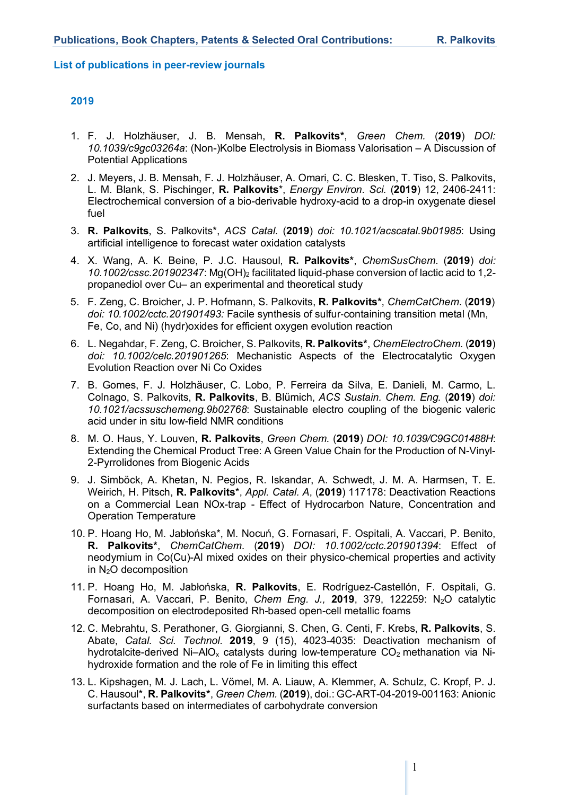#### **List of publications in peer-review journals**

- 1. F. J. Holzhäuser, J. B. Mensah, **R. Palkovits\***, *Green Chem.* (**2019**) *DOI: 10.1039/c9gc03264a*: (Non-)Kolbe Electrolysis in Biomass Valorisation – A Discussion of Potential Applications
- 2. J. Meyers, J. B. Mensah, F. J. Holzhäuser, A. Omari, C. C. Blesken, T. Tiso, S. Palkovits, L. M. Blank, S. Pischinger, **R. Palkovits**\*, *Energy Environ. Sci.* (**2019**) 12, 2406-2411: Electrochemical conversion of a bio-derivable hydroxy-acid to a drop-in oxygenate diesel fuel
- 3. **R. Palkovits**, S. Palkovits\*, *ACS Catal.* (**2019**) *doi: 10.1021/acscatal.9b01985*: Using artificial intelligence to forecast water oxidation catalysts
- 4. X. Wang, A. K. Beine, P. J.C. Hausoul, **R. Palkovits\***, *ChemSusChem*. (**2019**) *doi:*  10.1002/cssc.201902347: Mg(OH)<sub>2</sub> facilitated liquid-phase conversion of lactic acid to 1,2propanediol over Cu– an experimental and theoretical study
- 5. F. Zeng, C. Broicher, J. P. Hofmann, S. Palkovits, **R. Palkovits\***, *ChemCatChem*. (**2019**) *doi: 10.1002/cctc.201901493:* Facile synthesis of sulfur-containing transition metal (Mn, Fe, Co, and Ni) (hydr)oxides for efficient oxygen evolution reaction
- 6. L. Negahdar, F. Zeng, C. Broicher, S. Palkovits, **R. Palkovits\***, *ChemElectroChem.* (**2019**) *doi: 10.1002/celc.201901265*: Mechanistic Aspects of the Electrocatalytic Oxygen Evolution Reaction over Ni Co Oxides
- 7. B. Gomes, F. J. Holzhäuser, C. Lobo, P. Ferreira da Silva, E. Danieli, M. Carmo, L. Colnago, S. Palkovits, **R. Palkovits**, B. Blümich, *ACS Sustain. Chem. Eng.* (**2019**) *doi: 10.1021/acssuschemeng.9b02768*: Sustainable electro coupling of the biogenic valeric acid under in situ low-field NMR conditions
- 8. M. O. Haus, Y. Louven, **R. Palkovits**, *Green Chem.* (**2019**) *DOI: 10.1039/C9GC01488H*: Extending the Chemical Product Tree: A Green Value Chain for the Production of N-Vinyl-2-Pyrrolidones from Biogenic Acids
- 9. J. Simböck, A. Khetan, N. Pegios, R. Iskandar, A. Schwedt, J. M. A. Harmsen, T. E. Weirich, H. Pitsch, **R. Palkovits**\*, *Appl. Catal. A*, (**2019**) 117178: Deactivation Reactions on a Commercial Lean NOx-trap - Effect of Hydrocarbon Nature, Concentration and Operation Temperature
- 10. P. Hoang Ho, M. Jabłońska\*, M. Nocuń, G. Fornasari, F. Ospitali, A. Vaccari, P. Benito, **R. Palkovits\***, *ChemCatChem*. (**2019**) *DOI: 10.1002/cctc.201901394*: Effect of neodymium in Co(Cu)-Al mixed oxides on their physico-chemical properties and activity in  $N_2O$  decomposition
- 11. P. Hoang Ho, M. Jabłońska, **R. Palkovits**, E. Rodríguez-Castellón, F. Ospitali, G. Fornasari, A. Vaccari, P. Benito, *Chem Eng. J.,* **2019**, 379, 122259: N2O catalytic decomposition on electrodeposited Rh-based open-cell metallic foams
- 12. C. Mebrahtu, S. Perathoner, G. Giorgianni, S. Chen, G. Centi, F. Krebs, **R. Palkovits**, S. Abate, *Catal. Sci. Technol.* **2019**, 9 (15), 4023-4035: Deactivation mechanism of hydrotalcite-derived Ni-AlO<sub>x</sub> catalysts during low-temperature  $CO<sub>2</sub>$  methanation via Nihydroxide formation and the role of Fe in limiting this effect
- 13. L. Kipshagen, M. J. Lach, L. Vömel, M. A. Liauw, A. Klemmer, A. Schulz, C. Kropf, P. J. C. Hausoul\*, **R. Palkovits\***, *Green Chem.* (**2019**), doi.: GC-ART-04-2019-001163: Anionic surfactants based on intermediates of carbohydrate conversion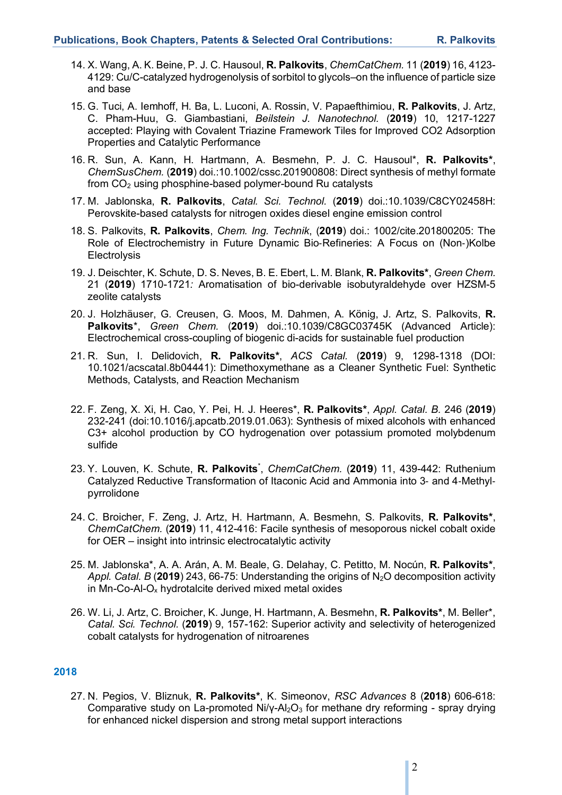- 14. X. Wang, A. K. Beine, P. J. C. Hausoul, **R. Palkovits**, *ChemCatChem.* 11 (**2019**) 16, 4123- 4129: Cu/C-catalyzed hydrogenolysis of sorbitol to glycols–on the influence of particle size and base
- 15. G. Tuci, A. Iemhoff, H. Ba, L. Luconi, A. Rossin, V. Papaefthimiou, **R. Palkovits**, J. Artz, C. Pham-Huu, G. Giambastiani, *Beilstein J. Nanotechnol.* (**2019**) 10, 1217-1227 accepted: Playing with Covalent Triazine Framework Tiles for Improved CO2 Adsorption Properties and Catalytic Performance
- 16. R. Sun, A. Kann, H. Hartmann, A. Besmehn, P. J. C. Hausoul\*, **R. Palkovits\***, *ChemSusChem.* (**2019**) doi.:10.1002/cssc.201900808: Direct synthesis of methyl formate from CO2 using phosphine-based polymer-bound Ru catalysts
- 17. M. Jablonska, **R. Palkovits**, *Catal. Sci. Technol.* (**2019**) doi.:10.1039/C8CY02458H: Perovskite-based catalysts for nitrogen oxides diesel engine emission control
- 18. S. Palkovits, **R. Palkovits**, *Chem. Ing. Technik*, (**2019**) doi.: 1002/cite.201800205: The Role of Electrochemistry in Future Dynamic Bio-Refineries: A Focus on (Non-)Kolbe **Electrolysis**
- 19. J. Deischter, K. Schute, D. S. Neves, B. E. Ebert, L. M. Blank, **R. Palkovits\***, *Green Chem.* 21 (**2019**) 1710-1721*:* Aromatisation of bio-derivable isobutyraldehyde over HZSM-5 zeolite catalysts
- 20. J. Holzhäuser, G. Creusen, G. Moos, M. Dahmen, A. König, J. Artz, S. Palkovits, **R. Palkovits**\*, *Green Chem.* (**2019**) doi.:10.1039/C8GC03745K (Advanced Article): Electrochemical cross-coupling of biogenic di-acids for sustainable fuel production
- 21. R. Sun, I. Delidovich, **R. Palkovits\***, *ACS Catal.* (**2019**) 9, 1298-1318 (DOI: 10.1021/acscatal.8b04441): Dimethoxymethane as a Cleaner Synthetic Fuel: Synthetic Methods, Catalysts, and Reaction Mechanism
- 22. F. Zeng, X. Xi, H. Cao, Y. Pei, H. J. Heeres\*, **R. Palkovits\***, *Appl. Catal. B.* 246 (**2019**) 232-241 (doi:10.1016/j.apcatb.2019.01.063): Synthesis of mixed alcohols with enhanced C3+ alcohol production by CO hydrogenation over potassium promoted molybdenum sulfide
- 23. Y. Louven, K. Schute, **R. Palkovits**\* , *ChemCatChem.* (**2019**) 11, 439-442: Ruthenium Catalyzed Reductive Transformation of Itaconic Acid and Ammonia into 3- and 4-Methylpyrrolidone
- 24. C. Broicher, F. Zeng, J. Artz, H. Hartmann, A. Besmehn, S. Palkovits, **R. Palkovits\***, *ChemCatChem.* (**2019**) 11, 412-416: Facile synthesis of mesoporous nickel cobalt oxide for OER – insight into intrinsic electrocatalytic activity
- 25. M. Jablonska\*, A. A. Arán, A. M. Beale, G. Delahay, C. Petitto, M. Nocún, **R. Palkovits\***, Appl. Catal. B (2019) 243, 66-75: Understanding the origins of N<sub>2</sub>O decomposition activity in Mn-Co-Al- $O_x$  hydrotalcite derived mixed metal oxides
- 26. W. Li, J. Artz, C. Broicher, K. Junge, H. Hartmann, A. Besmehn, **R. Palkovits\***, M. Beller\*, *Catal. Sci. Technol.* (**2019**) 9, 157-162: Superior activity and selectivity of heterogenized cobalt catalysts for hydrogenation of nitroarenes

27. N. Pegios, V. Bliznuk, **R. Palkovits\***, K. Simeonov, *RSC Advances* 8 (**2018**) 606-618: Comparative study on La-promoted Ni/γ-Al<sub>2</sub>O<sub>3</sub> for methane dry reforming - spray drying for enhanced nickel dispersion and strong metal support interactions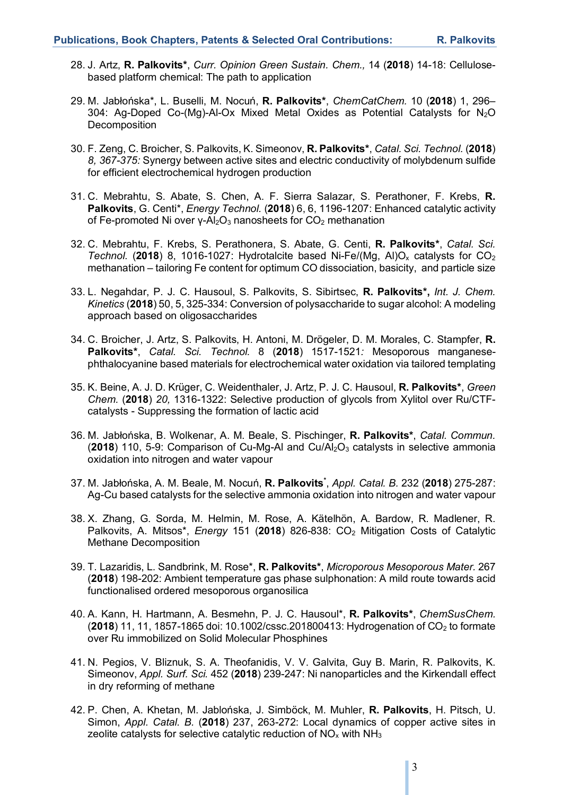- 28. J. Artz, **R. Palkovits\***, *Curr. Opinion Green Sustain. Chem.,* 14 (**2018**) 14-18: Cellulosebased platform chemical: The path to application
- 29. M. Jabłońska\*, L. Buselli, M. Nocuń, **R. Palkovits\***, *ChemCatChem.* 10 (**2018**) 1, 296– 304: Ag-Doped Co-(Mg)-Al-Ox Mixed Metal Oxides as Potential Catalysts for N2O Decomposition
- 30. F. Zeng, C. Broicher, S. Palkovits, K. Simeonov, **R. Palkovits\***, *Catal. Sci. Technol.* (**2018**) *8, 367-375:* Synergy between active sites and electric conductivity of molybdenum sulfide for efficient electrochemical hydrogen production
- 31. C. Mebrahtu, S. Abate, S. Chen, A. F. Sierra Salazar, S. Perathoner, F. Krebs, **R. Palkovits**, G. Centi\*, *Energy Technol.* (**2018**) 6, 6, 1196-1207: Enhanced catalytic activity of Fe-promoted Ni over γ-Al<sub>2</sub>O<sub>3</sub> nanosheets for CO<sub>2</sub> methanation
- 32. C. Mebrahtu, F. Krebs, S. Perathonera, S. Abate, G. Centi, **R. Palkovits\***, *Catal. Sci. Technol.* (2018) 8, 1016-1027: Hydrotalcite based Ni-Fe/(Mg, Al)O<sub>x</sub> catalysts for  $CO<sub>2</sub>$ methanation – tailoring Fe content for optimum CO dissociation, basicity, and particle size
- 33. L. Negahdar, P. J. C. Hausoul, S. Palkovits, S. Sibirtsec, **R. Palkovits\*,** *Int. J. Chem. Kinetics* (**2018**) 50, 5, 325-334: Conversion of polysaccharide to sugar alcohol: A modeling approach based on oligosaccharides
- 34. C. Broicher, J. Artz, S. Palkovits, H. Antoni, M. Drögeler, D. M. Morales, C. Stampfer, **R. Palkovits\***, *Catal. Sci. Technol.* 8 (**2018**) 1517-1521*:* Mesoporous manganesephthalocyanine based materials for electrochemical water oxidation via tailored templating
- 35. K. Beine, A. J. D. Krüger, C. Weidenthaler, J. Artz, P. J. C. Hausoul, **R. Palkovits\***, *Green Chem.* (**2018**) *20,* 1316-1322: Selective production of glycols from Xylitol over Ru/CTFcatalysts - Suppressing the formation of lactic acid
- 36. M. Jabłońska, B. Wolkenar, A. M. Beale, S. Pischinger, **R. Palkovits\***, *Catal. Commun.*  (**2018**) 110, 5-9: Comparison of Cu-Mg-Al and Cu/Al<sub>2</sub>O<sub>3</sub> catalysts in selective ammonia oxidation into nitrogen and water vapour
- 37. M. Jabłońska, A. M. Beale, M. Nocuń, **R. Palkovits\*** , *Appl. Catal. B.* 232 (**2018**) 275-287: Ag-Cu based catalysts for the selective ammonia oxidation into nitrogen and water vapour
- 38. X. Zhang, G. Sorda, M. Helmin, M. Rose, A. Kätelhön, A. Bardow, R. Madlener, R. Palkovits, A. Mitsos\*, *Energy* 151 (2018) 826-838: CO<sub>2</sub> Mitigation Costs of Catalytic Methane Decomposition
- 39. T. Lazaridis, L. Sandbrink, M. Rose\*, **R. Palkovits\***, *Microporous Mesoporous Mater.* 267 (**2018**) 198-202: Ambient temperature gas phase sulphonation: A mild route towards acid functionalised ordered mesoporous organosilica
- 40. A. Kann, H. Hartmann, A. Besmehn, P. J. C. Hausoul\*, **R. Palkovits\***, *ChemSusChem.*  (**2018**) 11, 11, 1857-1865 doi: 10.1002/cssc.201800413: Hydrogenation of CO2 to formate over Ru immobilized on Solid Molecular Phosphines
- 41. N. Pegios, V. Bliznuk, S. A. Theofanidis, V. V. Galvita, Guy B. Marin, R. Palkovits, K. Simeonov, *Appl. Surf. Sci.* 452 (**2018**) 239-247: Ni nanoparticles and the Kirkendall effect in dry reforming of methane
- 42. P. Chen, A. Khetan, M. Jablońska, J. Simböck, M. Muhler, **R. Palkovits**, H. Pitsch, U. Simon, *Appl. Catal. B.* (**2018**) 237, 263-272: Local dynamics of copper active sites in zeolite catalysts for selective catalytic reduction of  $NO<sub>x</sub>$  with  $NH<sub>3</sub>$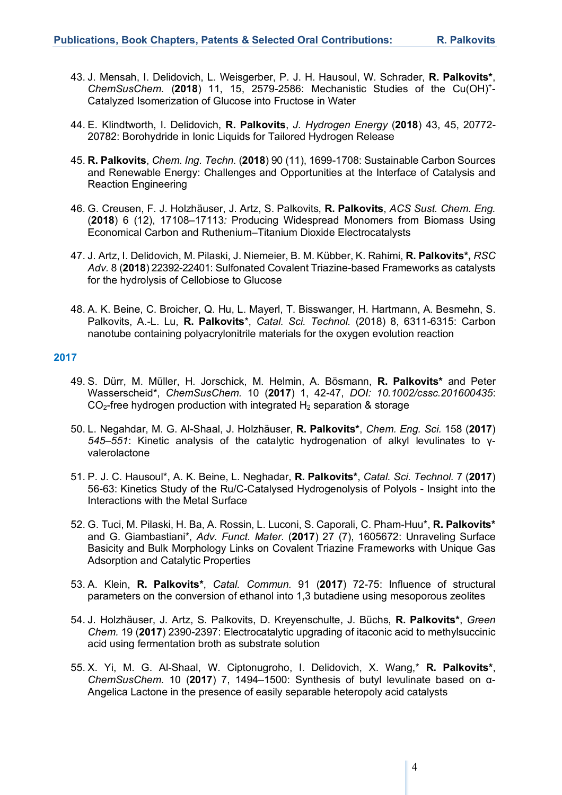- 43. J. Mensah, I. Delidovich, L. Weisgerber, P. J. H. Hausoul, W. Schrader, **R. Palkovits\***, *ChemSusChem.* (**2018**) 11, 15, 2579-2586: Mechanistic Studies of the Cu(OH)+ - Catalyzed Isomerization of Glucose into Fructose in Water
- 44. E. Klindtworth, I. Delidovich, **R. Palkovits**, *J. Hydrogen Energy* (**2018**) 43, 45, 20772- 20782: Borohydride in Ionic Liquids for Tailored Hydrogen Release
- 45. **R. Palkovits**, *Chem. Ing. Techn.* (**2018**) 90 (11), 1699-1708: Sustainable Carbon Sources and Renewable Energy: Challenges and Opportunities at the Interface of Catalysis and Reaction Engineering
- 46. G. Creusen, F. J. Holzhäuser, J. Artz, S. Palkovits, **R. Palkovits**, *ACS Sust. Chem. Eng.* (**2018**) 6 (12), 17108–17113*:* Producing Widespread Monomers from Biomass Using Economical Carbon and Ruthenium–Titanium Dioxide Electrocatalysts
- 47. J. Artz, I. Delidovich, M. Pilaski, J. Niemeier, B. M. Kübber, K. Rahimi, **R. Palkovits\*,** *RSC Adv.* 8 (**2018**) 22392-22401: Sulfonated Covalent Triazine-based Frameworks as catalysts for the hydrolysis of Cellobiose to Glucose
- 48. A. K. Beine, C. Broicher, Q. Hu, L. Mayerl, T. Bisswanger, H. Hartmann, A. Besmehn, S. Palkovits, A.-L. Lu, **R. Palkovits**\*, *Catal. Sci. Technol.* (2018) 8, 6311-6315: Carbon nanotube containing polyacrylonitrile materials for the oxygen evolution reaction

- 49. S. Dürr, M. Müller, H. Jorschick, M. Helmin, A. Bösmann, **R. Palkovits\*** and Peter Wasserscheid\*, *ChemSusChem.* 10 (**2017**) 1, 42-47, *DOI: 10.1002/cssc.201600435*:  $CO<sub>2</sub>$ -free hydrogen production with integrated  $H<sub>2</sub>$  separation & storage
- 50. L. Negahdar, M. G. Al-Shaal, J. Holzhäuser, **R. Palkovits\***, *Chem. Eng. Sci.* 158 (**2017**) *545–551*: Kinetic analysis of the catalytic hydrogenation of alkyl levulinates to γvalerolactone
- 51. P. J. C. Hausoul\*, A. K. Beine, L. Neghadar, **R. Palkovits\***, *Catal. Sci. Technol.* 7 (**2017**) 56-63: Kinetics Study of the Ru/C-Catalysed Hydrogenolysis of Polyols - Insight into the Interactions with the Metal Surface
- 52. G. Tuci, M. Pilaski, H. Ba, A. Rossin, L. Luconi, S. Caporali, C. Pham-Huu\*, **R. Palkovits\*** and G. Giambastiani\*, *Adv. Funct. Mater.* (**2017**) 27 (7), 1605672: Unraveling Surface Basicity and Bulk Morphology Links on Covalent Triazine Frameworks with Unique Gas Adsorption and Catalytic Properties
- 53. A. Klein, **R. Palkovits\***, *Catal. Commun.* 91 (**2017**) 72-75: Influence of structural parameters on the conversion of ethanol into 1,3 butadiene using mesoporous zeolites
- 54. J. Holzhäuser, J. Artz, S. Palkovits, D. Kreyenschulte, J. Büchs, **R. Palkovits\***, *Green Chem.* 19 (**2017**) 2390-2397: Electrocatalytic upgrading of itaconic acid to methylsuccinic acid using fermentation broth as substrate solution
- 55. X. Yi, M. G. Al-Shaal, W. Ciptonugroho, I. Delidovich, X. Wang,\* **R. Palkovits\***, *ChemSusChem.* 10 (**2017**) 7, 1494–1500: Synthesis of butyl levulinate based on α-Angelica Lactone in the presence of easily separable heteropoly acid catalysts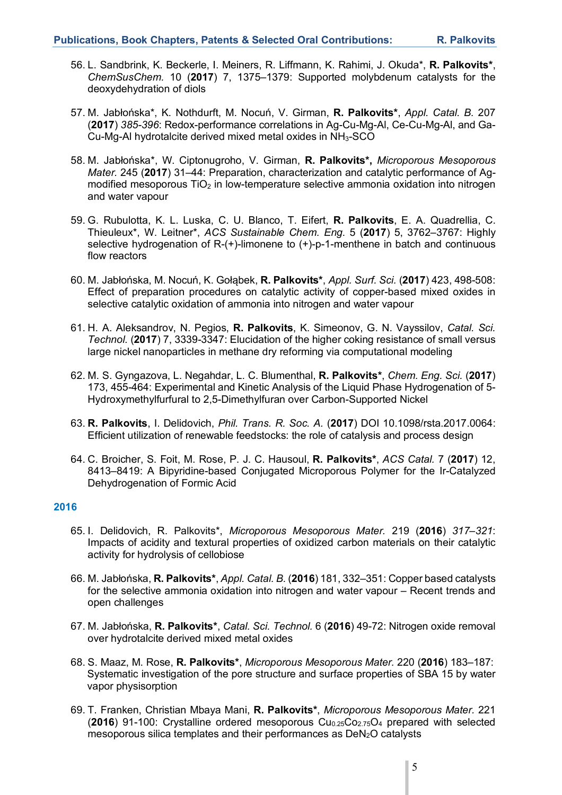- 56. L. Sandbrink, K. Beckerle, I. Meiners, R. Liffmann, K. Rahimi, J. Okuda\*, **R. Palkovits\***, *ChemSusChem.* 10 (**2017**) 7, 1375–1379: Supported molybdenum catalysts for the deoxydehydration of diols
- 57. M. Jabłońska\*, K. Nothdurft, M. Nocuń, V. Girman, **R. Palkovits\***, *Appl. Catal. B.* 207 (**2017**) *385-396*: Redox-performance correlations in Ag-Cu-Mg-Al, Ce-Cu-Mg-Al, and Ga-Cu-Mg-Al hydrotalcite derived mixed metal oxides in NH3-SCO
- 58. M. Jabłońska\*, W. Ciptonugroho, V. Girman, **R. Palkovits\*,** *Microporous Mesoporous Mater.* 245 (**2017**) 31–44: Preparation, characterization and catalytic performance of Agmodified mesoporous  $TiO<sub>2</sub>$  in low-temperature selective ammonia oxidation into nitrogen and water vapour
- 59. G. Rubulotta, K. L. Luska, C. U. Blanco, T. Eifert, **R. Palkovits**, E. A. Quadrellia, C. Thieuleux\*, W. Leitner\*, *ACS Sustainable Chem. Eng.* 5 (**2017**) 5, 3762–3767: Highly selective hydrogenation of R-(+)-limonene to (+)-p-1-menthene in batch and continuous flow reactors
- 60. M. Jabłońska, M. Nocuń, K. Gołąbek, **R. Palkovits\***, *Appl. Surf. Sci.* (**2017**) 423, 498-508: Effect of preparation procedures on catalytic activity of copper-based mixed oxides in selective catalytic oxidation of ammonia into nitrogen and water vapour
- 61. H. A. Aleksandrov, N. Pegios, **R. Palkovits**, K. Simeonov, G. N. Vayssilov, *Catal. Sci. Technol.* (**2017**) 7, 3339-3347: Elucidation of the higher coking resistance of small versus large nickel nanoparticles in methane dry reforming via computational modeling
- 62. M. S. Gyngazova, L. Negahdar, L. C. Blumenthal, **R. Palkovits\***, *Chem. Eng. Sci.* (**2017**) 173, 455-464: Experimental and Kinetic Analysis of the Liquid Phase Hydrogenation of 5- Hydroxymethylfurfural to 2,5-Dimethylfuran over Carbon-Supported Nickel
- 63. **R. Palkovits**, I. Delidovich, *Phil. Trans. R. Soc. A.* (**2017**) DOI 10.1098/rsta.2017.0064: Efficient utilization of renewable feedstocks: the role of catalysis and process design
- 64. C. Broicher, S. Foit, M. Rose, P. J. C. Hausoul, **R. Palkovits\***, *ACS Catal.* 7 (**2017**) 12, 8413–8419: A Bipyridine-based Conjugated Microporous Polymer for the Ir-Catalyzed Dehydrogenation of Formic Acid

- 65. I. Delidovich, R. Palkovits\*, *Microporous Mesoporous Mater.* 219 (**2016**) *317–321*: Impacts of acidity and textural properties of oxidized carbon materials on their catalytic activity for hydrolysis of cellobiose
- 66. M. Jabłońska, **R. Palkovits\***, *Appl. Catal. B.* (**2016**) 181, 332–351: Copper based catalysts for the selective ammonia oxidation into nitrogen and water vapour – Recent trends and open challenges
- 67. M. Jabłońska, **R. Palkovits\***, *Catal. Sci. Technol.* 6 (**2016**) 49-72: Nitrogen oxide removal over hydrotalcite derived mixed metal oxides
- 68. S. Maaz, M. Rose, **R. Palkovits\***, *Microporous Mesoporous Mater.* 220 (**2016**) 183–187: Systematic investigation of the pore structure and surface properties of SBA 15 by water vapor physisorption
- 69. T. Franken, Christian Mbaya Mani, **R. Palkovits\***, *Microporous Mesoporous Mater.* 221 (**2016**) 91-100: Crystalline ordered mesoporous Cu0.25Co2.75O4 prepared with selected mesoporous silica templates and their performances as DeN<sub>2</sub>O catalysts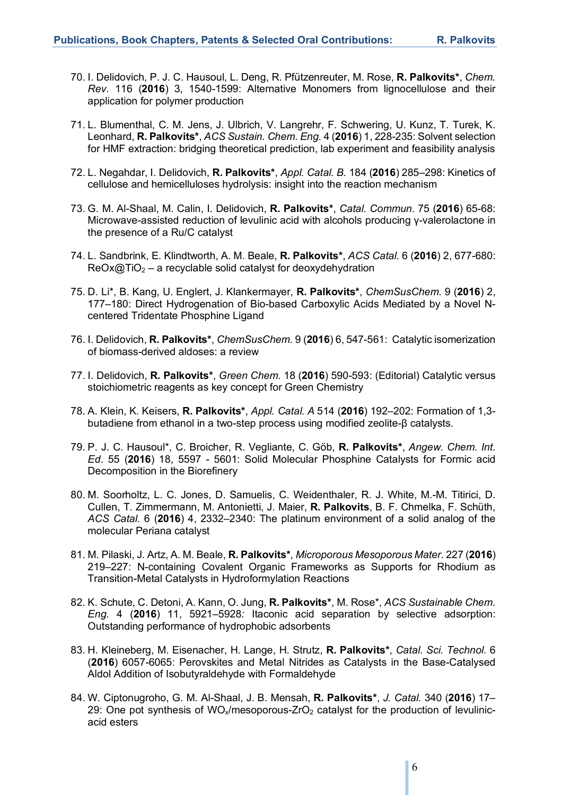- 70. I. Delidovich, P. J. C. Hausoul, L. Deng, R. Pfützenreuter, M. Rose, **R. Palkovits\***, *Chem. Rev.* 116 (**2016**) 3, 1540-1599: Alternative Monomers from lignocellulose and their application for polymer production
- 71. L. Blumenthal, C. M. Jens, J. Ulbrich, V. Langrehr, F. Schwering, U. Kunz, T. Turek, K. Leonhard, **R. Palkovits\***, *ACS Sustain. Chem. Eng*. 4 (**2016**) 1, 228-235: Solvent selection for HMF extraction: bridging theoretical prediction, lab experiment and feasibility analysis
- 72. L. Negahdar, I. Delidovich, **R. Palkovits\***, *Appl. Catal. B.* 184 (**2016**) 285–298: Kinetics of cellulose and hemicelluloses hydrolysis: insight into the reaction mechanism
- 73. G. M. Al-Shaal, M. Calin, I. Delidovich, **R. Palkovits\***, *Catal. Commun*. 75 (**2016**) 65-68: Microwave-assisted reduction of levulinic acid with alcohols producing γ-valerolactone in the presence of a Ru/C catalyst
- 74. L. Sandbrink, E. Klindtworth, A. M. Beale, **R. Palkovits\***, *ACS Catal.* 6 (**2016**) 2, 677-680:  $ReOx@TiO<sub>2</sub> - a recyclable solid catalyst for deoxydehydration$
- 75. D. Li\*, B. Kang, U. Englert, J. Klankermayer, **R. Palkovits\***, *ChemSusChem.* 9 (**2016**) 2, 177–180: Direct Hydrogenation of Bio-based Carboxylic Acids Mediated by a Novel Ncentered Tridentate Phosphine Ligand
- 76. I. Delidovich, **R. Palkovits\***, *ChemSusChem.* 9 (**2016**) 6, 547-561: Catalytic isomerization of biomass-derived aldoses: a review
- 77. I. Delidovich, **R. Palkovits\***, *Green Chem.* 18 (**2016**) 590-593: (Editorial) Catalytic versus stoichiometric reagents as key concept for Green Chemistry
- 78. A. Klein, K. Keisers, **R. Palkovits\***, *Appl. Catal. A* 514 (**2016**) 192–202: Formation of 1,3 butadiene from ethanol in a two-step process using modified zeolite-β catalysts.
- 79. P. J. C. Hausoul\*, C. Broicher, R. Vegliante, C. Göb, **R. Palkovits\***, *Angew. Chem. Int. Ed*. 55 (**2016**) 18, 5597 - 5601: Solid Molecular Phosphine Catalysts for Formic acid Decomposition in the Biorefinery
- 80. M. Soorholtz, L. C. Jones, D. Samuelis, C. Weidenthaler, R. J. White, M.-M. Titirici, D. Cullen, T. Zimmermann, M. Antonietti, J. Maier, **R. Palkovits**, B. F. Chmelka, F. Schüth, *ACS Catal.* 6 (**2016**) 4, 2332–2340: The platinum environment of a solid analog of the molecular Periana catalyst
- 81. M. Pilaski, J. Artz, A. M. Beale, **R. Palkovits\***, *Microporous Mesoporous Mater*. 227 (**2016**) 219–227: N-containing Covalent Organic Frameworks as Supports for Rhodium as Transition-Metal Catalysts in Hydroformylation Reactions
- 82. K. Schute, C. Detoni, A. Kann, O. Jung, **R. Palkovits\***, M. Rose\*, *ACS Sustainable Chem. Eng.* 4 (**2016**) 11, 5921–5928*:* Itaconic acid separation by selective adsorption: Outstanding performance of hydrophobic adsorbents
- 83. H. Kleineberg, M. Eisenacher, H. Lange, H. Strutz, **R. Palkovits\***, *Catal. Sci. Technol.* 6 (**2016**) 6057-6065: Perovskites and Metal Nitrides as Catalysts in the Base-Catalysed Aldol Addition of Isobutyraldehyde with Formaldehyde
- 84. W. Ciptonugroho, G. M. Al-Shaal, J. B. Mensah, **R. Palkovits\***, *J. Catal.* 340 (**2016**) 17– 29: One pot synthesis of WO $\sqrt{m}$ esoporous-ZrO<sub>2</sub> catalyst for the production of levulinicacid esters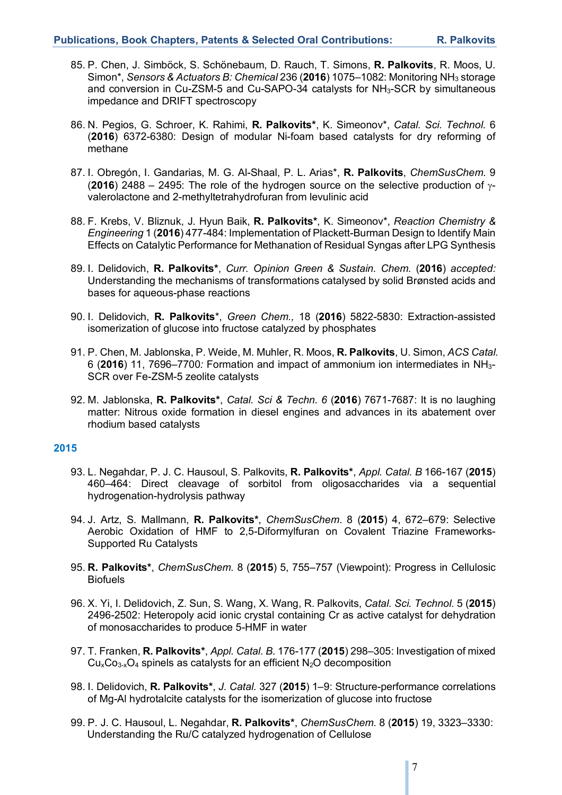- 85. P. Chen, J. Simböck, S. Schönebaum, D. Rauch, T. Simons, **R. Palkovits**, R. Moos, U. Simon\*, *Sensors & Actuators B: Chemical* 236 (**2016**) 1075–1082: Monitoring NH3 storage and conversion in Cu-ZSM-5 and Cu-SAPO-34 catalysts for  $NH<sub>3</sub>$ -SCR by simultaneous impedance and DRIFT spectroscopy
- 86. N. Pegios, G. Schroer, K. Rahimi, **R. Palkovits\***, K. Simeonov\*, *Catal. Sci. Technol.* 6 (**2016**) 6372-6380: Design of modular Ni-foam based catalysts for dry reforming of methane
- 87. I. Obregón, I. Gandarias, M. G. Al-Shaal, P. L. Arias\*, **R. Palkovits**, *ChemSusChem.* 9 (**2016**) 2488 – 2495: The role of the hydrogen source on the selective production of  $\gamma$ valerolactone and 2-methyltetrahydrofuran from levulinic acid
- 88. F. Krebs, V. Bliznuk, J. Hyun Baik, **R. Palkovits\***, K. Simeonov\*, *Reaction Chemistry & Engineering* 1 (**2016**) 477-484: Implementation of Plackett-Burman Design to Identify Main Effects on Catalytic Performance for Methanation of Residual Syngas after LPG Synthesis
- 89. I. Delidovich, **R. Palkovits\***, *Curr. Opinion Green & Sustain. Chem.* (**2016**) *accepted:* Understanding the mechanisms of transformations catalysed by solid Brønsted acids and bases for aqueous-phase reactions
- 90. I. Delidovich, **R. Palkovits**\*, *Green Chem.,* 18 (**2016**) 5822-5830: Extraction-assisted isomerization of glucose into fructose catalyzed by phosphates
- 91. P. Chen, M. Jablonska, P. Weide, M. Muhler, R. Moos, **R. Palkovits**, U. Simon, *ACS Catal.* 6 (**2016**) 11, 7696–7700*:* Formation and impact of ammonium ion intermediates in NH3- SCR over Fe-ZSM-5 zeolite catalysts
- 92. M. Jablonska, **R. Palkovits\***, *Catal. Sci & Techn. 6* (**2016**) 7671-7687: It is no laughing matter: Nitrous oxide formation in diesel engines and advances in its abatement over rhodium based catalysts

- 93. L. Negahdar, P. J. C. Hausoul, S. Palkovits, **R. Palkovits\***, *Appl. Catal. B* 166-167 (**2015**) 460–464: Direct cleavage of sorbitol from oligosaccharides via a sequential hydrogenation-hydrolysis pathway
- 94. J. Artz, S. Mallmann, **R. Palkovits\***, *ChemSusChem*. 8 (**2015**) 4, 672–679: Selective Aerobic Oxidation of HMF to 2,5-Diformylfuran on Covalent Triazine Frameworks-Supported Ru Catalysts
- 95. **R. Palkovits\***, *ChemSusChem.* 8 (**2015**) 5, 755–757 (Viewpoint): Progress in Cellulosic **Biofuels**
- 96. X. Yi, I. Delidovich, Z. Sun, S. Wang, X. Wang, R. Palkovits, *Catal. Sci. Technol.* 5 (**2015**) 2496-2502: Heteropoly acid ionic crystal containing Cr as active catalyst for dehydration of monosaccharides to produce 5-HMF in water
- 97. T. Franken, **R. Palkovits\***, *Appl. Catal. B.* 176-177 (**2015**) 298–305: Investigation of mixed  $Cu<sub>x</sub>Co<sub>3-x</sub>O<sub>4</sub>$  spinels as catalysts for an efficient N<sub>2</sub>O decomposition
- 98. I. Delidovich, **R. Palkovits\***, *J. Catal.* 327 (**2015**) 1–9: Structure-performance correlations of Mg-Al hydrotalcite catalysts for the isomerization of glucose into fructose
- 99. P. J. C. Hausoul, L. Negahdar, **R. Palkovits\***, *ChemSusChem.* 8 (**2015**) 19, 3323–3330: Understanding the Ru/C catalyzed hydrogenation of Cellulose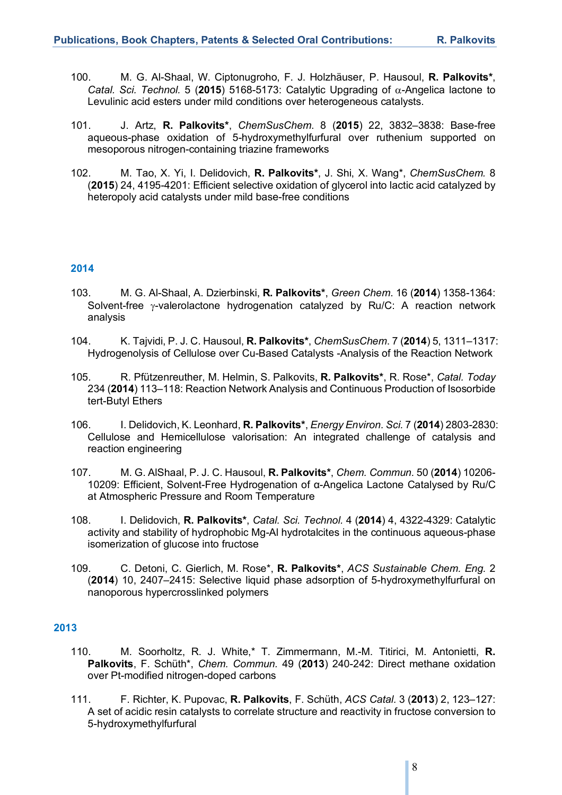- 100. M. G. Al-Shaal, W. Ciptonugroho, F. J. Holzhäuser, P. Hausoul, **R. Palkovits\***, *Catal. Sci. Technol.* 5 (**2015**) 5168-5173: Catalytic Upgrading of a-Angelica lactone to Levulinic acid esters under mild conditions over heterogeneous catalysts.
- 101. J. Artz, **R. Palkovits\***, *ChemSusChem*. 8 (**2015**) 22, 3832–3838: Base-free aqueous-phase oxidation of 5-hydroxymethylfurfural over ruthenium supported on mesoporous nitrogen-containing triazine frameworks
- 102. M. Tao, X. Yi, I. Delidovich, **R. Palkovits\***, J. Shi, X. Wang\*, *ChemSusChem.* 8 (**2015**) 24, 4195-4201: Efficient selective oxidation of glycerol into lactic acid catalyzed by heteropoly acid catalysts under mild base-free conditions

- 103. M. G. Al-Shaal, A. Dzierbinski, **R. Palkovits\***, *Green Chem*. 16 (**2014**) 1358-1364: Solvent-free  $\gamma$ -valerolactone hydrogenation catalyzed by Ru/C: A reaction network analysis
- 104. K. Tajvidi, P. J. C. Hausoul, **R. Palkovits\***, *ChemSusChem*. 7 (**2014**) 5, 1311–1317: Hydrogenolysis of Cellulose over Cu-Based Catalysts -Analysis of the Reaction Network
- 105. R. Pfützenreuther, M. Helmin, S. Palkovits, **R. Palkovits\***, R. Rose\*, *Catal. Today* 234 (**2014**) 113–118: Reaction Network Analysis and Continuous Production of Isosorbide tert-Butyl Ethers
- 106. I. Delidovich, K. Leonhard, **R. Palkovits\***, *Energy Environ. Sci.* 7 (**2014**) 2803-2830: Cellulose and Hemicellulose valorisation: An integrated challenge of catalysis and reaction engineering
- 107. M. G. AlShaal, P. J. C. Hausoul, **R. Palkovits\***, *Chem. Commun.* 50 (**2014**) 10206- 10209: Efficient, Solvent-Free Hydrogenation of α-Angelica Lactone Catalysed by Ru/C at Atmospheric Pressure and Room Temperature
- 108. I. Delidovich, **R. Palkovits\***, *Catal. Sci. Technol.* 4 (**2014**) 4, 4322-4329: Catalytic activity and stability of hydrophobic Mg-Al hydrotalcites in the continuous aqueous-phase isomerization of glucose into fructose
- 109. C. Detoni, C. Gierlich, M. Rose\*, **R. Palkovits\***, *ACS Sustainable Chem. Eng.* 2 (**2014**) 10, 2407–2415: Selective liquid phase adsorption of 5-hydroxymethylfurfural on nanoporous hypercrosslinked polymers

- 110. M. Soorholtz, R. J. White,\* T. Zimmermann, M.-M. Titirici, M. Antonietti, **R. Palkovits**, F. Schüth\*, *Chem. Commun.* 49 (**2013**) 240-242: Direct methane oxidation over Pt-modified nitrogen-doped carbons
- 111. F. Richter, K. Pupovac, **R. Palkovits**, F. Schüth, *ACS Catal.* 3 (**2013**) 2, 123–127: A set of acidic resin catalysts to correlate structure and reactivity in fructose conversion to 5-hydroxymethylfurfural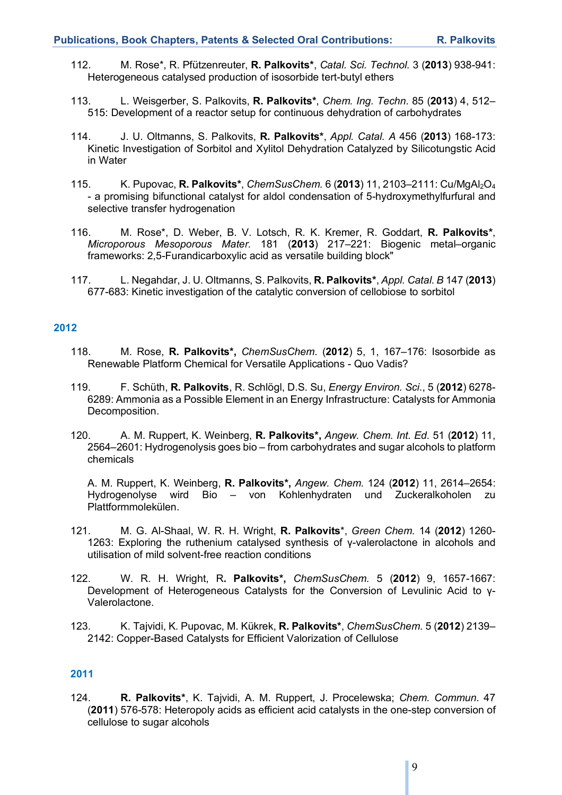- 112. M. Rose\*, R. Pfützenreuter, **R. Palkovits\***, *Catal. Sci. Technol.* 3 (**2013**) 938-941: Heterogeneous catalysed production of isosorbide tert-butyl ethers
- 113. L. Weisgerber, S. Palkovits, **R. Palkovits\***, *Chem. Ing. Techn.* 85 (**2013**) 4, 512– 515: Development of a reactor setup for continuous dehydration of carbohydrates
- 114. J. U. Oltmanns, S. Palkovits, **R. Palkovits\***, *Appl. Catal. A* 456 (**2013**) 168-173: Kinetic Investigation of Sorbitol and Xylitol Dehydration Catalyzed by Silicotungstic Acid in Water
- 115. K. Pupovac, **R. Palkovits\***, *ChemSusChem.* 6 (**2013**) 11, 2103–2111: Cu/MgAl2O4 - a promising bifunctional catalyst for aldol condensation of 5-hydroxymethylfurfural and selective transfer hydrogenation
- 116. M. Rose\*, D. Weber, B. V. Lotsch, R. K. Kremer, R. Goddart, **R. Palkovits\***, *Microporous Mesoporous Mater.* 181 (**2013**) 217–221: Biogenic metal–organic frameworks: 2,5-Furandicarboxylic acid as versatile building block"
- 117. L. Negahdar, J. U. Oltmanns, S. Palkovits, **R. Palkovits\***, *Appl. Catal. B* 147 (**2013**) 677-683: Kinetic investigation of the catalytic conversion of cellobiose to sorbitol

- 118. M. Rose, **R. Palkovits\*,** *ChemSusChem*. (**2012**) 5, 1, 167–176: Isosorbide as Renewable Platform Chemical for Versatile Applications - Quo Vadis?
- 119. F. Schüth, **R. Palkovits**, R. Schlögl, D.S. Su, *Energy Environ. Sci*., 5 (**2012**) 6278- 6289: Ammonia as a Possible Element in an Energy Infrastructure: Catalysts for Ammonia Decomposition.
- 120. A. M. Ruppert, K. Weinberg, **R. Palkovits\*,** *Angew. Chem. Int. Ed.* 51 (**2012**) 11, 2564–2601: Hydrogenolysis goes bio – from carbohydrates and sugar alcohols to platform chemicals

A. M. Ruppert, K. Weinberg, **R. Palkovits\*,** *Angew. Chem.* 124 (**2012**) 11, 2614–2654: Hydrogenolyse wird Bio – von Kohlenhydraten und Zuckeralkoholen zu Plattformmolekülen.

- 121. M. G. Al-Shaal, W. R. H. Wright, **R. Palkovits**\*, *Green Chem.* 14 (**2012**) 1260- 1263: Exploring the ruthenium catalysed synthesis of γ-valerolactone in alcohols and utilisation of mild solvent-free reaction conditions
- 122. W. R. H. Wright, R**. Palkovits\*,** *ChemSusChem.* 5 (**2012**) 9, 1657-1667: Development of Heterogeneous Catalysts for the Conversion of Levulinic Acid to γ-Valerolactone.
- 123. K. Tajvidi, K. Pupovac, M. Kükrek, **R. Palkovits\***, *ChemSusChem.* 5 (**2012**) 2139– 2142: Copper-Based Catalysts for Efficient Valorization of Cellulose

## **2011**

124. **R. Palkovits\***, K. Tajvidi, A. M. Ruppert, J. Procelewska; *Chem. Commun.* 47 (**2011**) 576-578: Heteropoly acids as efficient acid catalysts in the one-step conversion of cellulose to sugar alcohols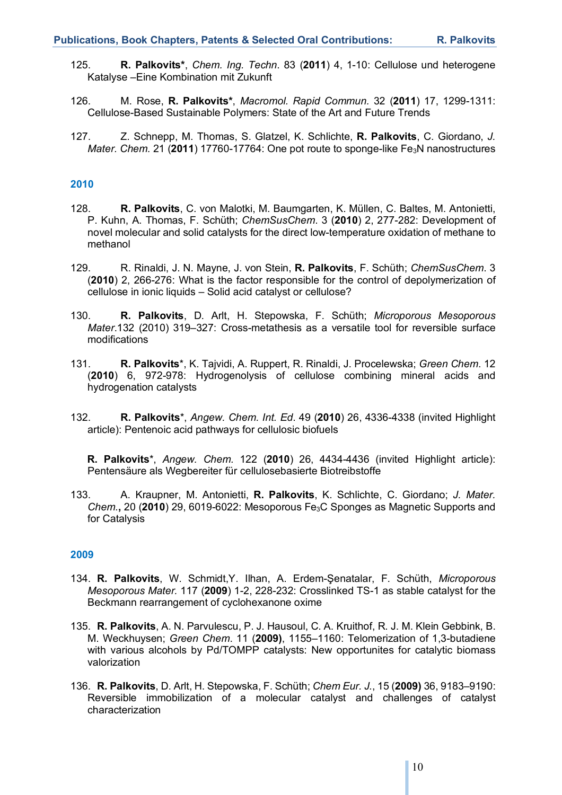- 125. **R. Palkovits\***, *Chem. Ing. Techn*. 83 (**2011**) 4, 1-10: Cellulose und heterogene Katalyse –Eine Kombination mit Zukunft
- 126. M. Rose, **R. Palkovits\***, *Macromol. Rapid Commun.* 32 (**2011**) 17, 1299-1311: Cellulose-Based Sustainable Polymers: State of the Art and Future Trends
- 127. Z. Schnepp, M. Thomas, S. Glatzel, K. Schlichte, **R. Palkovits**, C. Giordano, *J. Mater. Chem.* 21 (**2011**) 17760-17764: One pot route to sponge-like Fe3N nanostructures

- 128. **R. Palkovits**, C. von Malotki, M. Baumgarten, K. Müllen, C. Baltes, M. Antonietti, P. Kuhn, A. Thomas, F. Schüth; *ChemSusChem*. 3 (**2010**) 2, 277-282: Development of novel molecular and solid catalysts for the direct low-temperature oxidation of methane to methanol
- 129. R. Rinaldi, J. N. Mayne, J. von Stein, **R. Palkovits**, F. Schüth; *ChemSusChem*. 3 (**2010**) 2, 266-276: What is the factor responsible for the control of depolymerization of cellulose in ionic liquids – Solid acid catalyst or cellulose?
- 130. **R. Palkovits**, D. Arlt, H. Stepowska, F. Schüth; *Microporous Mesoporous Mater*.132 (2010) 319–327: Cross-metathesis as a versatile tool for reversible surface modifications
- 131. **R. Palkovits**\*, K. Tajvidi, A. Ruppert, R. Rinaldi, J. Procelewska; *Green Chem*. 12 (**2010**) 6, 972-978: Hydrogenolysis of cellulose combining mineral acids and hydrogenation catalysts
- 132. **R. Palkovits**\*, *Angew. Chem. Int. Ed*. 49 (**2010**) 26, 4336-4338 (invited Highlight article): Pentenoic acid pathways for cellulosic biofuels

**R. Palkovits**\*, *Angew. Chem.* 122 (**2010**) 26, 4434-4436 (invited Highlight article): Pentensäure als Wegbereiter für cellulosebasierte Biotreibstoffe

133. A. Kraupner, M. Antonietti, **R. Palkovits**, K. Schlichte, C. Giordano; *J. Mater. Chem.***,** 20 (**2010**) 29, 6019-6022: Mesoporous Fe3C Sponges as Magnetic Supports and for Catalysis

- 134. **R. Palkovits**, W. Schmidt,Y. Ilhan, A. Erdem-Şenatalar, F. Schüth, *Microporous Mesoporous Mater.* 117 (**2009**) 1-2, 228-232: Crosslinked TS-1 as stable catalyst for the Beckmann rearrangement of cyclohexanone oxime
- 135. **R. Palkovits**, A. N. Parvulescu, P. J. Hausoul, C. A. Kruithof, R. J. M. Klein Gebbink, B. M. Weckhuysen; *Green Chem*. 11 (**2009)**, 1155–1160: Telomerization of 1,3-butadiene with various alcohols by Pd/TOMPP catalysts: New opportunites for catalytic biomass valorization
- 136. **R. Palkovits**, D. Arlt, H. Stepowska, F. Schüth; *Chem Eur. J.*, 15 (**2009)** 36, 9183–9190: Reversible immobilization of a molecular catalyst and challenges of catalyst characterization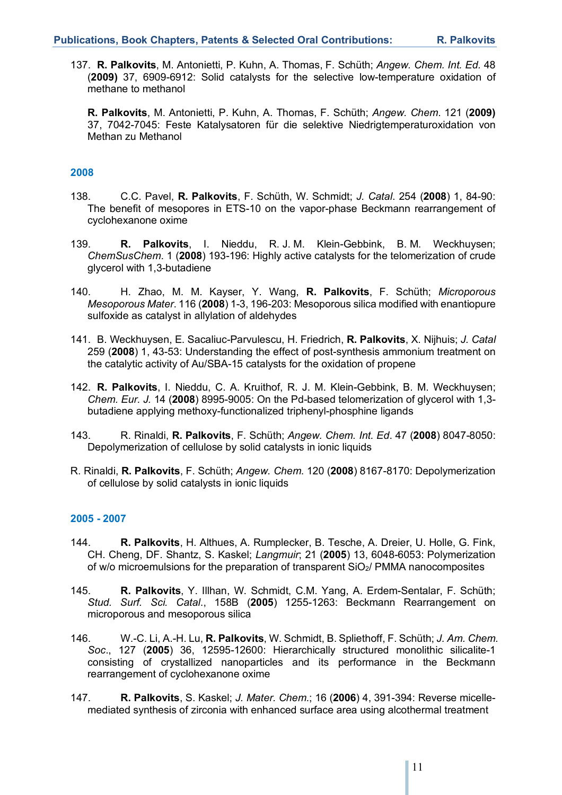137. **R. Palkovits**, M. Antonietti, P. Kuhn, A. Thomas, F. Schüth; *Angew. Chem. Int. Ed.* 48 (**2009)** 37, 6909-6912: Solid catalysts for the selective low-temperature oxidation of methane to methanol

**R. Palkovits**, M. Antonietti, P. Kuhn, A. Thomas, F. Schüth; *Angew. Chem*. 121 (**2009)**  37, 7042-7045: Feste Katalysatoren für die selektive Niedrigtemperaturoxidation von Methan zu Methanol

## **2008**

- 138. C.C. Pavel, **R. Palkovits**, F. Schüth, W. Schmidt; *J. Catal*. 254 (**2008**) 1, 84-90: The benefit of mesopores in ETS-10 on the vapor-phase Beckmann rearrangement of cyclohexanone oxime
- 139. **R. Palkovits**, I. Nieddu, R. J. M. Klein-Gebbink, B. M. Weckhuysen; *ChemSusChem*. 1 (**2008**) 193-196: Highly active catalysts for the telomerization of crude glycerol with 1,3-butadiene
- 140. H. Zhao, M. M. Kayser, Y. Wang, **R. Palkovits**, F. Schüth; *Microporous Mesoporous Mater*. 116 (**2008**) 1-3, 196-203: Mesoporous silica modified with enantiopure sulfoxide as catalyst in allylation of aldehydes
- 141. B. Weckhuysen, E. Sacaliuc-Parvulescu, H. Friedrich, **R. Palkovits**, X. Nijhuis; *J. Catal* 259 (**2008**) 1, 43-53: Understanding the effect of post-synthesis ammonium treatment on the catalytic activity of Au/SBA-15 catalysts for the oxidation of propene
- 142. **R. Palkovits**, I. Nieddu, C. A. Kruithof, R. J. M. Klein-Gebbink, B. M. Weckhuysen; *Chem. Eur. J.* 14 (**2008**) 8995-9005: On the Pd-based telomerization of glycerol with 1,3 butadiene applying methoxy-functionalized triphenyl-phosphine ligands
- 143. R. Rinaldi, **R. Palkovits**, F. Schüth; *Angew. Chem. Int. Ed*. 47 (**2008**) 8047-8050: Depolymerization of cellulose by solid catalysts in ionic liquids
- R. Rinaldi, **R. Palkovits**, F. Schüth; *Angew. Chem*. 120 (**2008**) 8167-8170: Depolymerization of cellulose by solid catalysts in ionic liquids

#### **2005 - 2007**

- 144. **R. Palkovits**, H. Althues, A. Rumplecker, B. Tesche, A. Dreier, U. Holle, G. Fink, CH. Cheng, DF. Shantz, S. Kaskel; *Langmuir*; 21 (**2005**) 13, 6048-6053: Polymerization of w/o microemulsions for the preparation of transparent  $SiO<sub>2</sub>/$  PMMA nanocomposites
- 145. **R. Palkovits**, Y. Illhan, W. Schmidt, C.M. Yang, A. Erdem-Sentalar, F. Schüth; *Stud. Surf. Sci. Catal*., 158B (**2005**) 1255-1263: Beckmann Rearrangement on microporous and mesoporous silica
- 146. W.-C. Li, A.-H. Lu, **R. Palkovits**, W. Schmidt, B. Spliethoff, F. Schüth; *J. Am. Chem. Soc*., 127 (**2005**) 36, 12595-12600: Hierarchically structured monolithic silicalite-1 consisting of crystallized nanoparticles and its performance in the Beckmann rearrangement of cyclohexanone oxime
- 147. **R. Palkovits**, S. Kaskel; *J. Mater. Chem.*; 16 (**2006**) 4, 391-394: Reverse micellemediated synthesis of zirconia with enhanced surface area using alcothermal treatment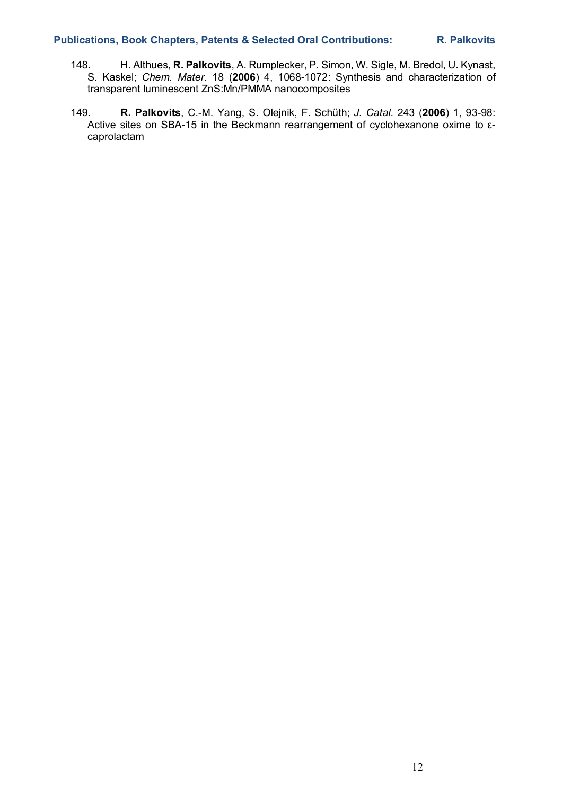- 148. H. Althues, **R. Palkovits**, A. Rumplecker, P. Simon, W. Sigle, M. Bredol, U. Kynast, S. Kaskel; *Chem. Mater*. 18 (**2006**) 4, 1068-1072: Synthesis and characterization of transparent luminescent ZnS:Mn/PMMA nanocomposites
- 149. **R. Palkovits**, C.-M. Yang, S. Olejnik, F. Schüth; *J. Catal*. 243 (**2006**) 1, 93-98: Active sites on SBA-15 in the Beckmann rearrangement of cyclohexanone oxime to εcaprolactam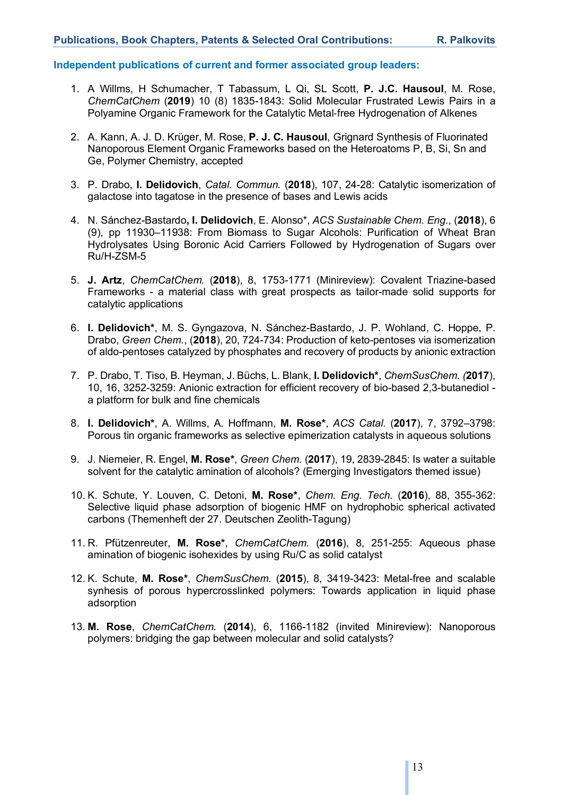## **Independent publications of current and former associated group leaders:**

- 1. A Willms, H Schumacher, T Tabassum, L Qi, SL Scott, **P. J.C. Hausoul**, M. Rose, *ChemCatChem* (**2019**) 10 (8) 1835-1843: Solid Molecular Frustrated Lewis Pairs in a Polyamine Organic Framework for the Catalytic Metal-free Hydrogenation of Alkenes
- 2. A. Kann, A. J. D. Krüger, M. Rose, **P. J. C. Hausoul**, Grignard Synthesis of Fluorinated Nanoporous Element Organic Frameworks based on the Heteroatoms P, B, Si, Sn and Ge, Polymer Chemistry, accepted
- 3. P. Drabo, **I. Delidovich**, *Catal. Commun.* (**2018**), 107, 24-28: Catalytic isomerization of galactose into tagatose in the presence of bases and Lewis acids
- 4. N. Sánchez-Bastardo**, I. Delidovich**, E. Alonso\*, *ACS Sustainable Chem. Eng.*, (**2018**), 6 (9), pp 11930–11938: From Biomass to Sugar Alcohols: Purification of Wheat Bran Hydrolysates Using Boronic Acid Carriers Followed by Hydrogenation of Sugars over Ru/H-ZSM-5
- 5. **J. Artz**, *ChemCatChem.* (**2018**), 8, 1753-1771 (Minireview): Covalent Triazine-based Frameworks - a material class with great prospects as tailor-made solid supports for catalytic applications
- 6. **I. Delidovich\***, M. S. Gyngazova, N. Sánchez-Bastardo, J. P. Wohland, C. Hoppe, P. Drabo, *Green Chem.*, (**2018**), 20, 724-734: Production of keto-pentoses via isomerization of aldo-pentoses catalyzed by phosphates and recovery of products by anionic extraction
- 7. P. Drabo, T. Tiso, B. Heyman, J. Büchs, L. Blank, **I. Delidovich\***, *ChemSusChem. (***2017**), 10, 16, 3252-3259: Anionic extraction for efficient recovery of bio-based 2,3-butanediol a platform for bulk and fine chemicals
- 8. **I. Delidovich\***, A. Willms, A. Hoffmann, **M. Rose\***, *ACS Catal.* (**2017**), 7, 3792–3798: Porous tin organic frameworks as selective epimerization catalysts in aqueous solutions
- 9. J. Niemeier, R. Engel, **M. Rose\***, *Green Chem.* (**2017**), 19, 2839-2845: Is water a suitable solvent for the catalytic amination of alcohols? (Emerging Investigators themed issue)
- 10. K. Schute, Y. Louven, C. Detoni, **M. Rose\***, *Chem. Eng. Tech.* (**2016**), 88, 355-362: Selective liquid phase adsorption of biogenic HMF on hydrophobic spherical activated carbons (Themenheft der 27. Deutschen Zeolith-Tagung)
- 11. R. Pfützenreuter, **M. Rose\***, *ChemCatChem.* (**2016**), 8, 251-255: Aqueous phase amination of biogenic isohexides by using Ru/C as solid catalyst
- 12. K. Schute, **M. Rose\***, *ChemSusChem.* (**2015**), 8, 3419-3423: Metal-free and scalable synhesis of porous hypercrosslinked polymers: Towards application in liquid phase adsorption
- 13. **M. Rose**, *ChemCatChem.* (**2014**), 6, 1166-1182 (invited Minireview): Nanoporous polymers: bridging the gap between molecular and solid catalysts?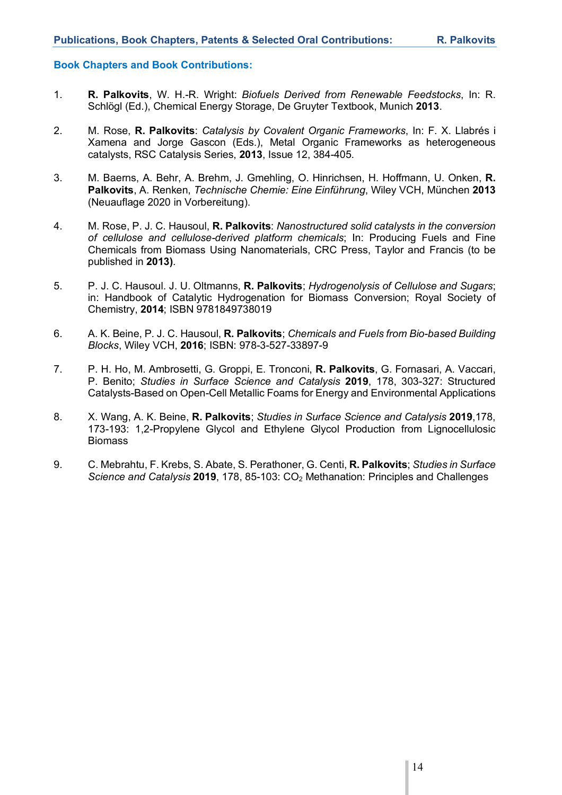#### **Book Chapters and Book Contributions:**

- 1. **R. Palkovits**, W. H.-R. Wright: *Biofuels Derived from Renewable Feedstocks*, In: R. Schlögl (Ed.), Chemical Energy Storage, De Gruyter Textbook, Munich **2013**.
- 2. M. Rose, **R. Palkovits**: *Catalysis by Covalent Organic Frameworks*, In: F. X. Llabrés i Xamena and Jorge Gascon (Eds.), Metal Organic Frameworks as heterogeneous catalysts, RSC Catalysis Series, **2013**, Issue 12, 384-405.
- 3. M. Baerns, A. Behr, A. Brehm, J. Gmehling, O. Hinrichsen, H. Hoffmann, U. Onken, **R. Palkovits**, A. Renken, *Technische Chemie: Eine Einführung*, Wiley VCH, München **2013** (Neuauflage 2020 in Vorbereitung).
- 4. M. Rose, P. J. C. Hausoul, **R. Palkovits**: *Nanostructured solid catalysts in the conversion of cellulose and cellulose-derived platform chemicals*; In: Producing Fuels and Fine Chemicals from Biomass Using Nanomaterials, CRC Press, Taylor and Francis (to be published in **2013)**.
- 5. P. J. C. Hausoul. J. U. Oltmanns, **R. Palkovits**; *Hydrogenolysis of Cellulose and Sugars*; in: Handbook of Catalytic Hydrogenation for Biomass Conversion; Royal Society of Chemistry, **2014**; ISBN 9781849738019
- 6. A. K. Beine, P. J. C. Hausoul, **R. Palkovits**; *Chemicals and Fuels from Bio-based Building Blocks*, Wiley VCH, **2016**; ISBN: 978-3-527-33897-9
- 7. P. H. Ho, M. Ambrosetti, G. Groppi, E. Tronconi, **R. Palkovits**, G. Fornasari, A. Vaccari, P. Benito; *Studies in Surface Science and Catalysis* **2019**, 178, 303-327: Structured Catalysts-Based on Open-Cell Metallic Foams for Energy and Environmental Applications
- 8. X. Wang, A. K. Beine, **R. Palkovits**; *Studies in Surface Science and Catalysis* **2019**,178, 173-193: 1,2-Propylene Glycol and Ethylene Glycol Production from Lignocellulosic **Biomass**
- 9. C. Mebrahtu, F. Krebs, S. Abate, S. Perathoner, G. Centi, **R. Palkovits**; *Studies in Surface Science and Catalysis* **2019**, 178, 85-103: CO2 Methanation: Principles and Challenges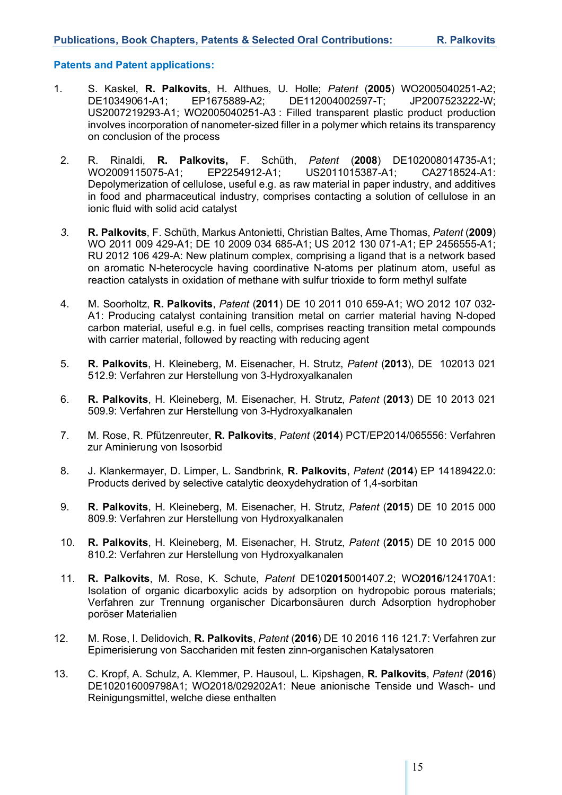## **Patents and Patent applications:**

- 1. S. Kaskel, **R. Palkovits**, H. Althues, U. Holle; *Patent* (**2005**) WO2005040251-A2; DE10349061-A1; EP1675889-A2; DE112004002597-T; JP2007523222-W; US2007219293-A1; WO2005040251-A3 : Filled transparent plastic product production involves incorporation of nanometer-sized filler in a polymer which retains its transparency on conclusion of the process
	- 2. R. Rinaldi, **R. Palkovits,** F. Schüth, *Patent* (**2008**) DE102008014735-A1; WO2009115075-A1; EP2254912-A1; US2011015387-A1; CA2718524-A1: Depolymerization of cellulose, useful e.g. as raw material in paper industry, and additives in food and pharmaceutical industry, comprises contacting a solution of cellulose in an ionic fluid with solid acid catalyst
	- *3.* **R. Palkovits**, F. Schüth, Markus Antonietti, Christian Baltes, Arne Thomas, *Patent* (**2009**) WO 2011 009 429-A1; DE 10 2009 034 685-A1; US 2012 130 071-A1; EP 2456555-A1; RU 2012 106 429-A: New platinum complex, comprising a ligand that is a network based on aromatic N-heterocycle having coordinative N-atoms per platinum atom, useful as reaction catalysts in oxidation of methane with sulfur trioxide to form methyl sulfate
	- 4. M. Soorholtz, **R. Palkovits**, *Patent* (**2011**) DE 10 2011 010 659-A1; WO 2012 107 032- A1: Producing catalyst containing transition metal on carrier material having N-doped carbon material, useful e.g. in fuel cells, comprises reacting transition metal compounds with carrier material, followed by reacting with reducing agent
	- 5. **R. Palkovits**, H. Kleineberg, M. Eisenacher, H. Strutz, *Patent* (**2013**), DE 102013 021 512.9: Verfahren zur Herstellung von 3-Hydroxyalkanalen
	- 6. **R. Palkovits**, H. Kleineberg, M. Eisenacher, H. Strutz, *Patent* (**2013**) DE 10 2013 021 509.9: Verfahren zur Herstellung von 3-Hydroxyalkanalen
	- 7. M. Rose, R. Pfützenreuter, **R. Palkovits**, *Patent* (**2014**) PCT/EP2014/065556: Verfahren zur Aminierung von Isosorbid
	- 8. J. Klankermayer, D. Limper, L. Sandbrink, **R. Palkovits**, *Patent* (**2014**) EP 14189422.0: Products derived by selective catalytic deoxydehydration of 1,4-sorbitan
	- 9. **R. Palkovits**, H. Kleineberg, M. Eisenacher, H. Strutz, *Patent* (**2015**) DE 10 2015 000 809.9: Verfahren zur Herstellung von Hydroxyalkanalen
	- 10. **R. Palkovits**, H. Kleineberg, M. Eisenacher, H. Strutz, *Patent* (**2015**) DE 10 2015 000 810.2: Verfahren zur Herstellung von Hydroxyalkanalen
- 11. **R. Palkovits**, M. Rose, K. Schute, *Patent* DE10**2015**001407.2; WO**2016**/124170A1: Isolation of organic dicarboxylic acids by adsorption on hydropobic porous materials; Verfahren zur Trennung organischer Dicarbonsäuren durch Adsorption hydrophober poröser Materialien
- 12. M. Rose, I. Delidovich, **R. Palkovits**, *Patent* (**2016**) DE 10 2016 116 121.7: Verfahren zur Epimerisierung von Sacchariden mit festen zinn-organischen Katalysatoren
- 13. C. Kropf, A. Schulz, A. Klemmer, P. Hausoul, L. Kipshagen, **R. Palkovits**, *Patent* (**2016**) DE102016009798A1; WO2018/029202A1: Neue anionische Tenside und Wasch- und Reinigungsmittel, welche diese enthalten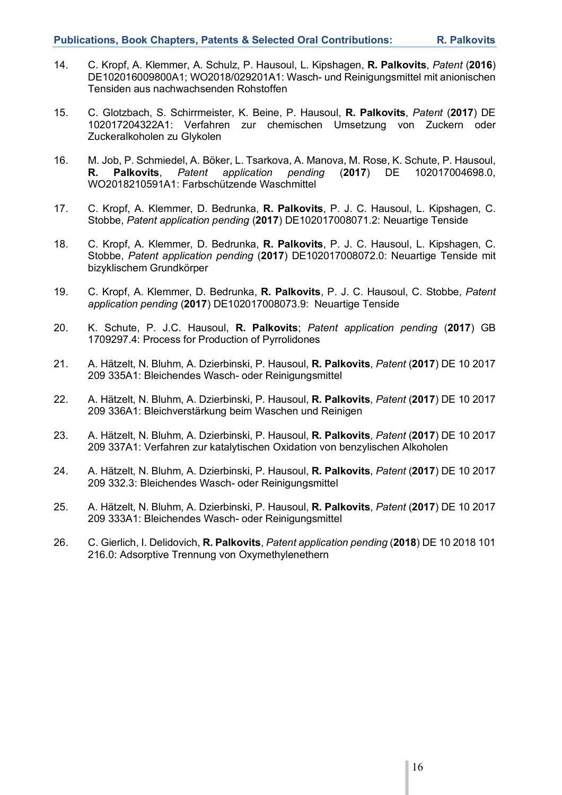- 14. C. Kropf, A. Klemmer, A. Schulz, P. Hausoul, L. Kipshagen, **R. Palkovits**, *Patent* (**2016**) DE102016009800A1; WO2018/029201A1: Wasch- und Reinigungsmittel mit anionischen Tensiden aus nachwachsenden Rohstoffen
- 15. C. Glotzbach, S. Schirrmeister, K. Beine, P. Hausoul, **R. Palkovits**, *Patent* (**2017**) DE 102017204322A1: Verfahren zur chemischen Umsetzung von Zuckern oder Zuckeralkoholen zu Glykolen
- 16. M. Job, P. Schmiedel, A. Böker, L. Tsarkova, A. Manova, M. Rose, K. Schute, P. Hausoul, **R. Palkovits**, *Patent application pending* (**2017**) DE 102017004698.0, WO2018210591A1: Farbschützende Waschmittel
- 17. C. Kropf, A. Klemmer, D. Bedrunka, **R. Palkovits**, P. J. C. Hausoul, L. Kipshagen, C. Stobbe, *Patent application pending* (**2017**) DE102017008071.2: Neuartige Tenside
- 18. C. Kropf, A. Klemmer, D. Bedrunka, **R. Palkovits**, P. J. C. Hausoul, L. Kipshagen, C. Stobbe, *Patent application pending* (**2017**) DE102017008072.0: Neuartige Tenside mit bizyklischem Grundkörper
- 19. C. Kropf, A. Klemmer, D. Bedrunka, **R. Palkovits**, P. J. C. Hausoul, C. Stobbe, *Patent application pending* (**2017**) DE102017008073.9: Neuartige Tenside
- 20. K. Schute, P. J.C. Hausoul, **R. Palkovits**; *Patent application pending* (**2017**) GB 1709297.4: Process for Production of Pyrrolidones
- 21. A. Hätzelt, N. Bluhm, A. Dzierbinski, P. Hausoul, **R. Palkovits**, *Patent* (**2017**) DE 10 2017 209 335A1: Bleichendes Wasch- oder Reinigungsmittel
- 22. A. Hätzelt, N. Bluhm, A. Dzierbinski, P. Hausoul, **R. Palkovits**, *Patent* (**2017**) DE 10 2017 209 336A1: Bleichverstärkung beim Waschen und Reinigen
- 23. A. Hätzelt, N. Bluhm, A. Dzierbinski, P. Hausoul, **R. Palkovits**, *Patent* (**2017**) DE 10 2017 209 337A1: Verfahren zur katalytischen Oxidation von benzylischen Alkoholen
- 24. A. Hätzelt, N. Bluhm, A. Dzierbinski, P. Hausoul, **R. Palkovits**, *Patent* (**2017**) DE 10 2017 209 332.3: Bleichendes Wasch- oder Reinigungsmittel
- 25. A. Hätzelt, N. Bluhm, A. Dzierbinski, P. Hausoul, **R. Palkovits**, *Patent* (**2017**) DE 10 2017 209 333A1: Bleichendes Wasch- oder Reinigungsmittel
- 26. C. Gierlich, I. Delidovich, **R. Palkovits**, *Patent application pending* (**2018**) DE 10 2018 101 216.0: Adsorptive Trennung von Oxymethylenethern